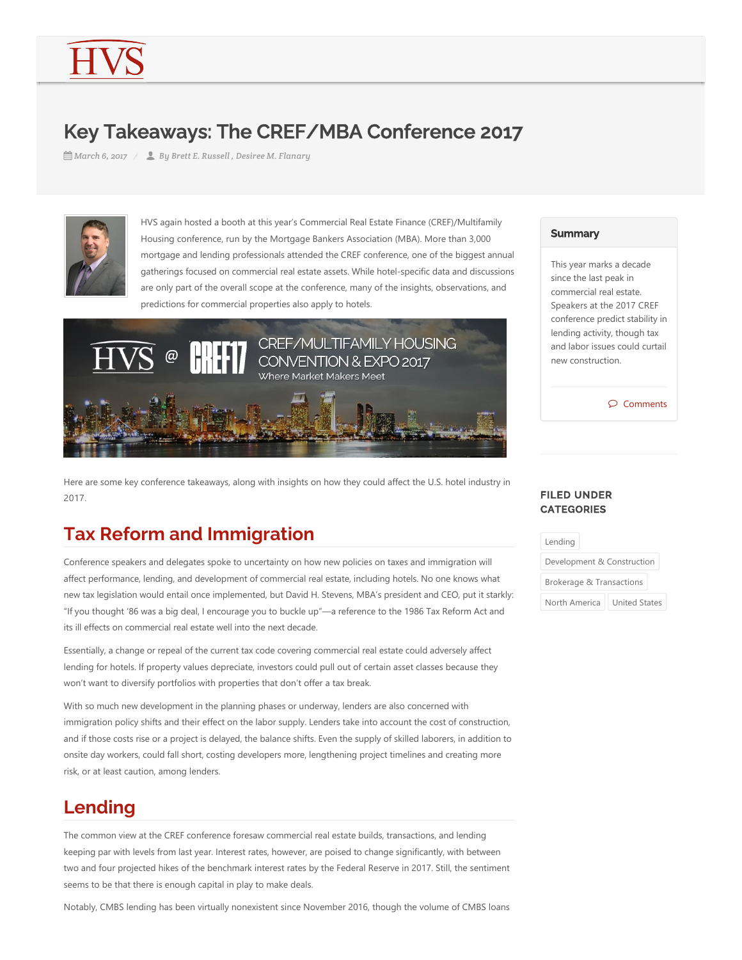# Key Takeaways: The CREF/MBA Conference 2017

*March 6, 2017 By Brett E. Russell , Desiree M. Flanary*



HVS again hosted a booth at this year's Commercial Real Estate Finance (CREF)/Multifamily Housing conference, run by the Mortgage Bankers Association (MBA). More than 3,000 mortgage and lending professionals attended the CREF conference, one of the biggest annual gatherings focused on commercial real estate assets. While hotel‐specific data and discussions are only part of the overall scope at the conference, many of the insights, observations, and predictions for commercial properties also apply to hotels.



Here are some key conference takeaways, along with insights on how they could affect the U.S. hotel industry in 2017.

## **Tax Reform and Immigration**

Conference speakers and delegates spoke to uncertainty on how new policies on taxes and immigration will affect performance, lending, and development of commercial real estate, including hotels. No one knows what new tax legislation would entail once implemented, but David H. Stevens, MBA's president and CEO, put it starkly: "If you thought '86 was a big deal, I encourage you to buckle up"—a reference to the 1986 Tax Reform Act and its ill effects on commercial real estate well into the next decade.

Essentially, a change or repeal of the current tax code covering commercial real estate could adversely affect lending for hotels. If property values depreciate, investors could pull out of certain asset classes because they won't want to diversify portfolios with properties that don't offer a tax break.

With so much new development in the planning phases or underway, lenders are also concerned with immigration policy shifts and their effect on the labor supply. Lenders take into account the cost of construction, and if those costs rise or a project is delayed, the balance shifts. Even the supply of skilled laborers, in addition to onsite day workers, could fall short, costing developers more, lengthening project timelines and creating more risk, or at least caution, among lenders.

# **Lending**

The common view at the CREF conference foresaw commercial real estate builds, transactions, and lending keeping par with levels from last year. Interest rates, however, are poised to change significantly, with between two and four projected hikes of the benchmark interest rates by the Federal Reserve in 2017. Still, the sentiment seems to be that there is enough capital in play to make deals.

Notably, CMBS lending has been virtually nonexistent since November 2016, though the volume of CMBS loans

#### **Summary**

This year marks a decade since the last peak in commercial real estate. Speakers at the 2017 CREF conference predict stability in lending activity, though tax and labor issues could curtail new construction.

Comments

#### FILED UNDER **CATEGORIES**

| Lending                    |                      |
|----------------------------|----------------------|
| Development & Construction |                      |
| Brokerage & Transactions   |                      |
| North America              | <b>United States</b> |